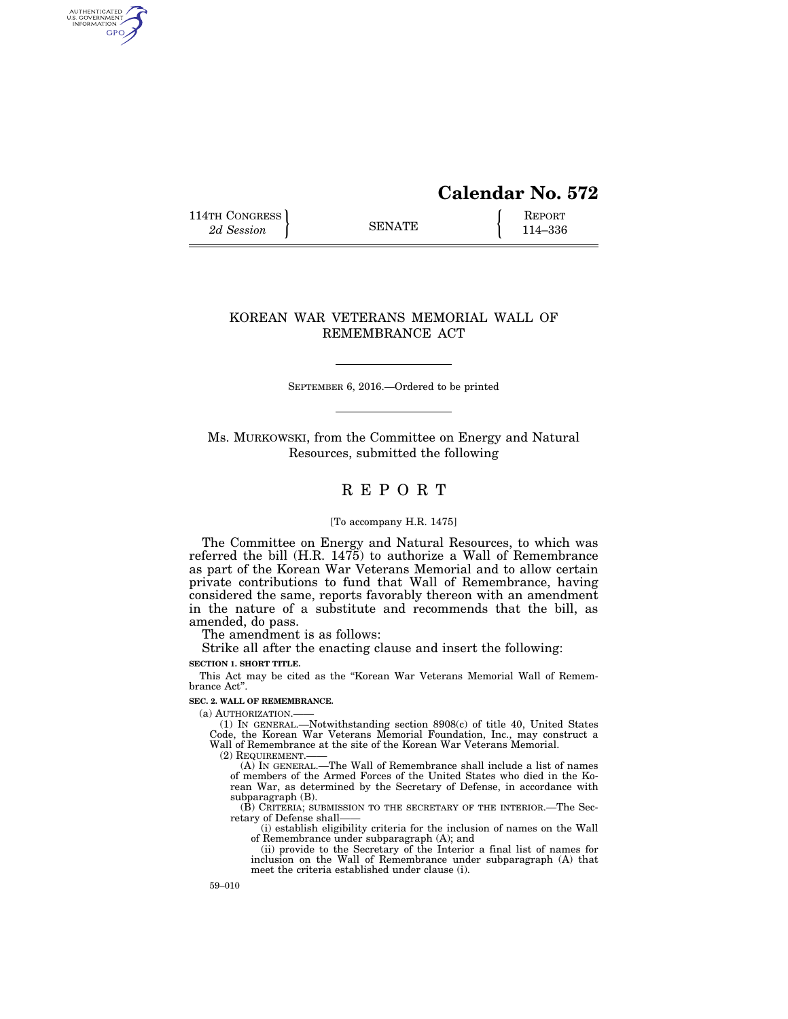# **Calendar No. 572**

114TH CONGRESS **REPORT** 2d Session **114-336** 

AUTHENTICATED<br>U.S. GOVERNMENT<br>INFORMATION GPO

# KOREAN WAR VETERANS MEMORIAL WALL OF REMEMBRANCE ACT

SEPTEMBER 6, 2016.—Ordered to be printed

Ms. MURKOWSKI, from the Committee on Energy and Natural Resources, submitted the following

# R E P O R T

#### [To accompany H.R. 1475]

The Committee on Energy and Natural Resources, to which was referred the bill (H.R. 1475) to authorize a Wall of Remembrance as part of the Korean War Veterans Memorial and to allow certain private contributions to fund that Wall of Remembrance, having considered the same, reports favorably thereon with an amendment in the nature of a substitute and recommends that the bill, as amended, do pass.

The amendment is as follows:

Strike all after the enacting clause and insert the following: **SECTION 1. SHORT TITLE.** 

This Act may be cited as the ''Korean War Veterans Memorial Wall of Remembrance Act''.

#### **SEC. 2. WALL OF REMEMBRANCE.**

(a) AUTHORIZATION.

(1) IN GENERAL.—Notwithstanding section 8908(c) of title 40, United States Code, the Korean War Veterans Memorial Foundation, Inc., may construct a Wall of Remembrance at the site of the Korean War Veterans Memorial.

 $(2)$  REQUIREMENT.

(A) IN GENERAL.—The Wall of Remembrance shall include a list of names of members of the Armed Forces of the United States who died in the Korean War, as determined by the Secretary of Defense, in accordance with subparagraph (B).

(B) CRITERIA; SUBMISSION TO THE SECRETARY OF THE INTERIOR.—The Secretary of Defense shall——

(i) establish eligibility criteria for the inclusion of names on the Wall of Remembrance under subparagraph (A); and

(ii) provide to the Secretary of the Interior a final list of names for inclusion on the Wall of Remembrance under subparagraph (A) that meet the criteria established under clause (i).

59–010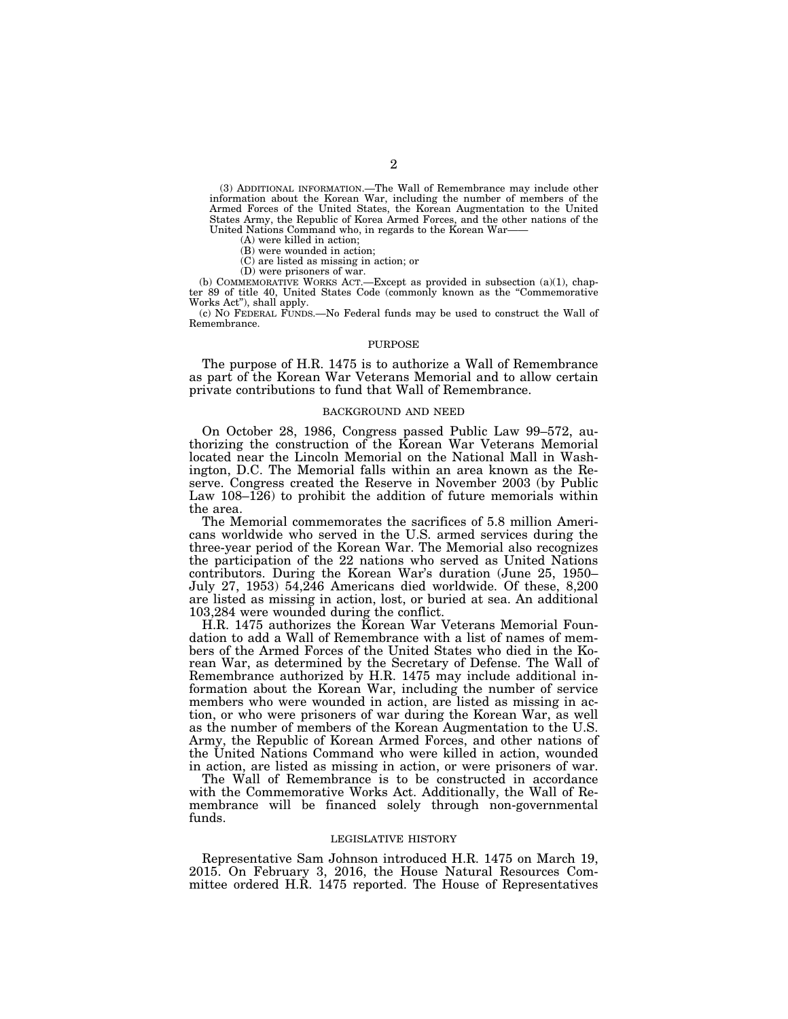(3) ADDITIONAL INFORMATION.—The Wall of Remembrance may include other information about the Korean War, including the number of members of the Armed Forces of the United States, the Korean Augmentation to the United States Army, the Republic of Korea Armed Forces, and the other nations of the United Nations Command who, in regards to the Korean War——

(A) were killed in action; (B) were wounded in action;

(C) are listed as missing in action; or

(D) were prisoners of war.

(b) COMMEMORATIVE WORKS ACT.—Except as provided in subsection  $(a)(1)$ , chapter 89 of title 40, United States Code (commonly known as the ''Commemorative Works Act''), shall apply.

(c) NO FEDERAL FUNDS.—No Federal funds may be used to construct the Wall of Remembrance.

#### PURPOSE

The purpose of H.R. 1475 is to authorize a Wall of Remembrance as part of the Korean War Veterans Memorial and to allow certain private contributions to fund that Wall of Remembrance.

## BACKGROUND AND NEED

On October 28, 1986, Congress passed Public Law 99–572, authorizing the construction of the Korean War Veterans Memorial located near the Lincoln Memorial on the National Mall in Washington, D.C. The Memorial falls within an area known as the Reserve. Congress created the Reserve in November 2003 (by Public Law 108–126) to prohibit the addition of future memorials within the area.

The Memorial commemorates the sacrifices of 5.8 million Americans worldwide who served in the U.S. armed services during the three-year period of the Korean War. The Memorial also recognizes the participation of the 22 nations who served as United Nations contributors. During the Korean War's duration (June 25, 1950– July 27, 1953) 54,246 Americans died worldwide. Of these, 8,200 are listed as missing in action, lost, or buried at sea. An additional 103,284 were wounded during the conflict.

H.R. 1475 authorizes the Korean War Veterans Memorial Foundation to add a Wall of Remembrance with a list of names of members of the Armed Forces of the United States who died in the Korean War, as determined by the Secretary of Defense. The Wall of Remembrance authorized by H.R. 1475 may include additional information about the Korean War, including the number of service members who were wounded in action, are listed as missing in action, or who were prisoners of war during the Korean War, as well as the number of members of the Korean Augmentation to the U.S. Army, the Republic of Korean Armed Forces, and other nations of the United Nations Command who were killed in action, wounded in action, are listed as missing in action, or were prisoners of war.

The Wall of Remembrance is to be constructed in accordance with the Commemorative Works Act. Additionally, the Wall of Remembrance will be financed solely through non-governmental funds.

#### LEGISLATIVE HISTORY

Representative Sam Johnson introduced H.R. 1475 on March 19, 2015. On February 3, 2016, the House Natural Resources Committee ordered H.R. 1475 reported. The House of Representatives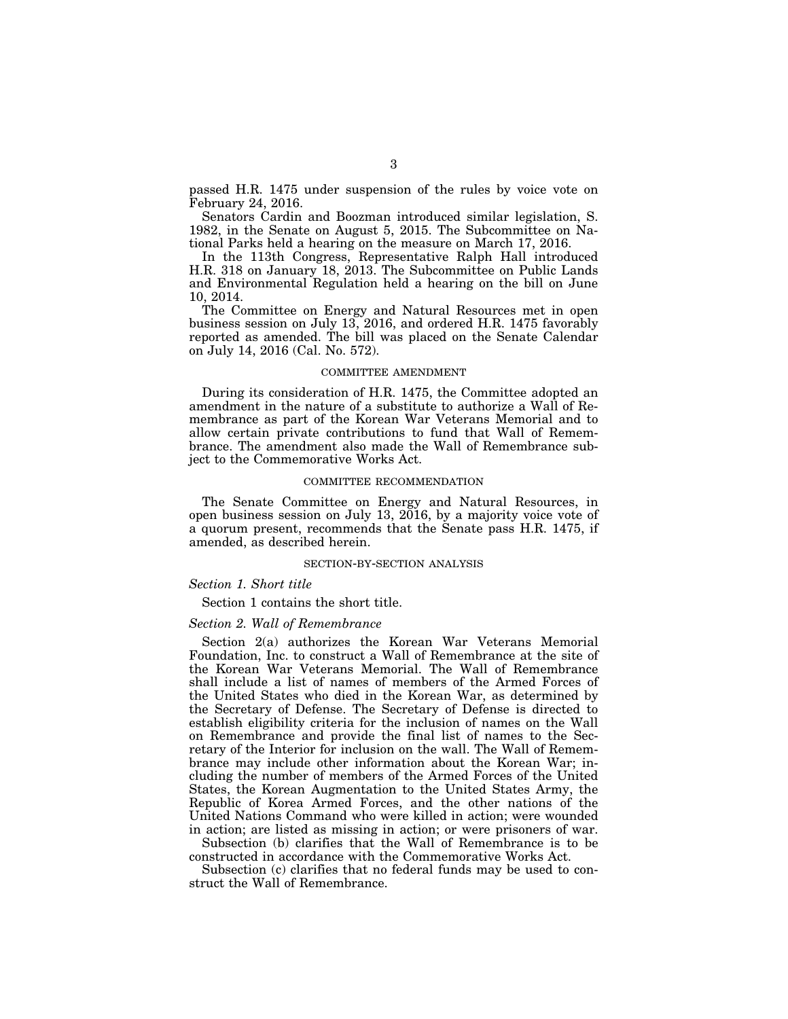passed H.R. 1475 under suspension of the rules by voice vote on February 24, 2016.

Senators Cardin and Boozman introduced similar legislation, S. 1982, in the Senate on August 5, 2015. The Subcommittee on National Parks held a hearing on the measure on March 17, 2016.

In the 113th Congress, Representative Ralph Hall introduced H.R. 318 on January 18, 2013. The Subcommittee on Public Lands and Environmental Regulation held a hearing on the bill on June 10, 2014.

The Committee on Energy and Natural Resources met in open business session on July 13, 2016, and ordered H.R. 1475 favorably reported as amended. The bill was placed on the Senate Calendar on July 14, 2016 (Cal. No. 572).

#### COMMITTEE AMENDMENT

During its consideration of H.R. 1475, the Committee adopted an amendment in the nature of a substitute to authorize a Wall of Remembrance as part of the Korean War Veterans Memorial and to allow certain private contributions to fund that Wall of Remembrance. The amendment also made the Wall of Remembrance subject to the Commemorative Works Act.

#### COMMITTEE RECOMMENDATION

The Senate Committee on Energy and Natural Resources, in open business session on July 13, 2016, by a majority voice vote of a quorum present, recommends that the Senate pass H.R. 1475, if amended, as described herein.

#### SECTION-BY-SECTION ANALYSIS

#### *Section 1. Short title*

Section 1 contains the short title.

#### *Section 2. Wall of Remembrance*

Section 2(a) authorizes the Korean War Veterans Memorial Foundation, Inc. to construct a Wall of Remembrance at the site of the Korean War Veterans Memorial. The Wall of Remembrance shall include a list of names of members of the Armed Forces of the United States who died in the Korean War, as determined by the Secretary of Defense. The Secretary of Defense is directed to establish eligibility criteria for the inclusion of names on the Wall on Remembrance and provide the final list of names to the Secretary of the Interior for inclusion on the wall. The Wall of Remembrance may include other information about the Korean War; including the number of members of the Armed Forces of the United States, the Korean Augmentation to the United States Army, the Republic of Korea Armed Forces, and the other nations of the United Nations Command who were killed in action; were wounded in action; are listed as missing in action; or were prisoners of war.

Subsection (b) clarifies that the Wall of Remembrance is to be constructed in accordance with the Commemorative Works Act.

Subsection (c) clarifies that no federal funds may be used to construct the Wall of Remembrance.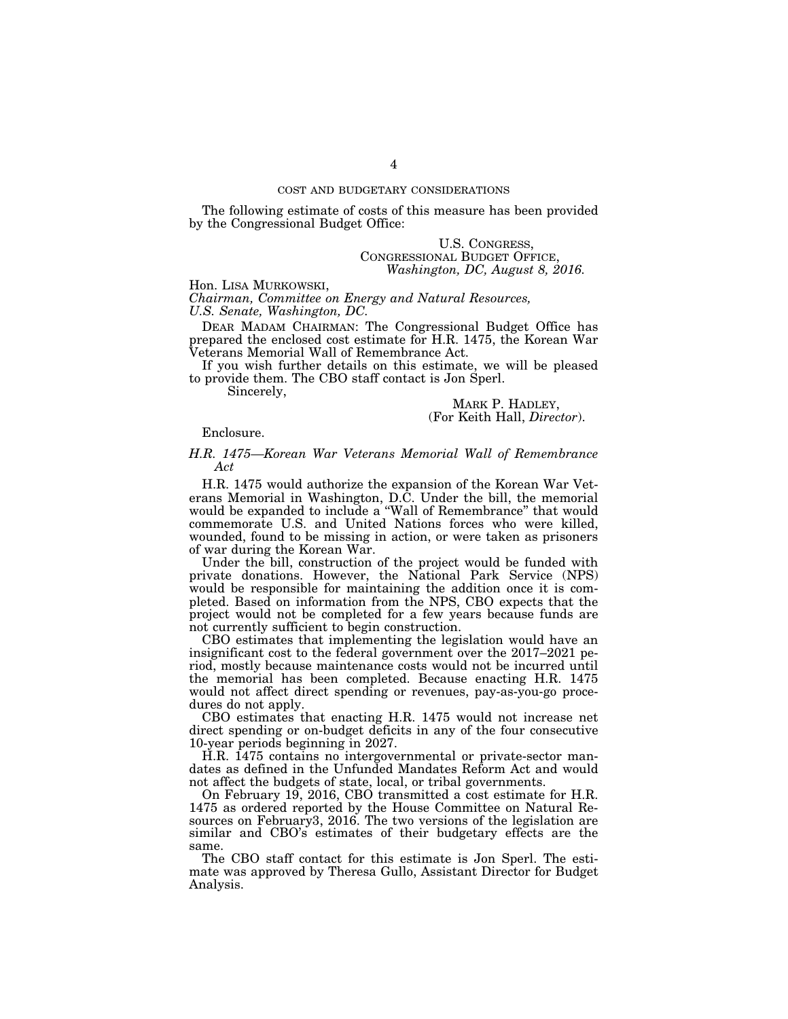## COST AND BUDGETARY CONSIDERATIONS

The following estimate of costs of this measure has been provided by the Congressional Budget Office:

## U.S. CONGRESS, CONGRESSIONAL BUDGET OFFICE, *Washington, DC, August 8, 2016.*

Hon. LISA MURKOWSKI,

*Chairman, Committee on Energy and Natural Resources, U.S. Senate, Washington, DC.* 

DEAR MADAM CHAIRMAN: The Congressional Budget Office has prepared the enclosed cost estimate for H.R. 1475, the Korean War Veterans Memorial Wall of Remembrance Act.

If you wish further details on this estimate, we will be pleased to provide them. The CBO staff contact is Jon Sperl.

Sincerely,

MARK P. HADLEY, (For Keith Hall, *Director*).

### Enclosure.

## *H.R. 1475—Korean War Veterans Memorial Wall of Remembrance Act*

H.R. 1475 would authorize the expansion of the Korean War Veterans Memorial in Washington, D.C. Under the bill, the memorial would be expanded to include a ''Wall of Remembrance'' that would commemorate U.S. and United Nations forces who were killed, wounded, found to be missing in action, or were taken as prisoners of war during the Korean War.

Under the bill, construction of the project would be funded with private donations. However, the National Park Service (NPS) would be responsible for maintaining the addition once it is completed. Based on information from the NPS, CBO expects that the project would not be completed for a few years because funds are not currently sufficient to begin construction.

CBO estimates that implementing the legislation would have an insignificant cost to the federal government over the 2017–2021 period, mostly because maintenance costs would not be incurred until the memorial has been completed. Because enacting H.R. 1475 would not affect direct spending or revenues, pay-as-you-go procedures do not apply.

CBO estimates that enacting H.R. 1475 would not increase net direct spending or on-budget deficits in any of the four consecutive 10-year periods beginning in 2027.

H.R. 1475 contains no intergovernmental or private-sector mandates as defined in the Unfunded Mandates Reform Act and would not affect the budgets of state, local, or tribal governments.

On February 19, 2016, CBO transmitted a cost estimate for H.R. 1475 as ordered reported by the House Committee on Natural Resources on February3, 2016. The two versions of the legislation are similar and CBO's estimates of their budgetary effects are the same.

The CBO staff contact for this estimate is Jon Sperl. The estimate was approved by Theresa Gullo, Assistant Director for Budget Analysis.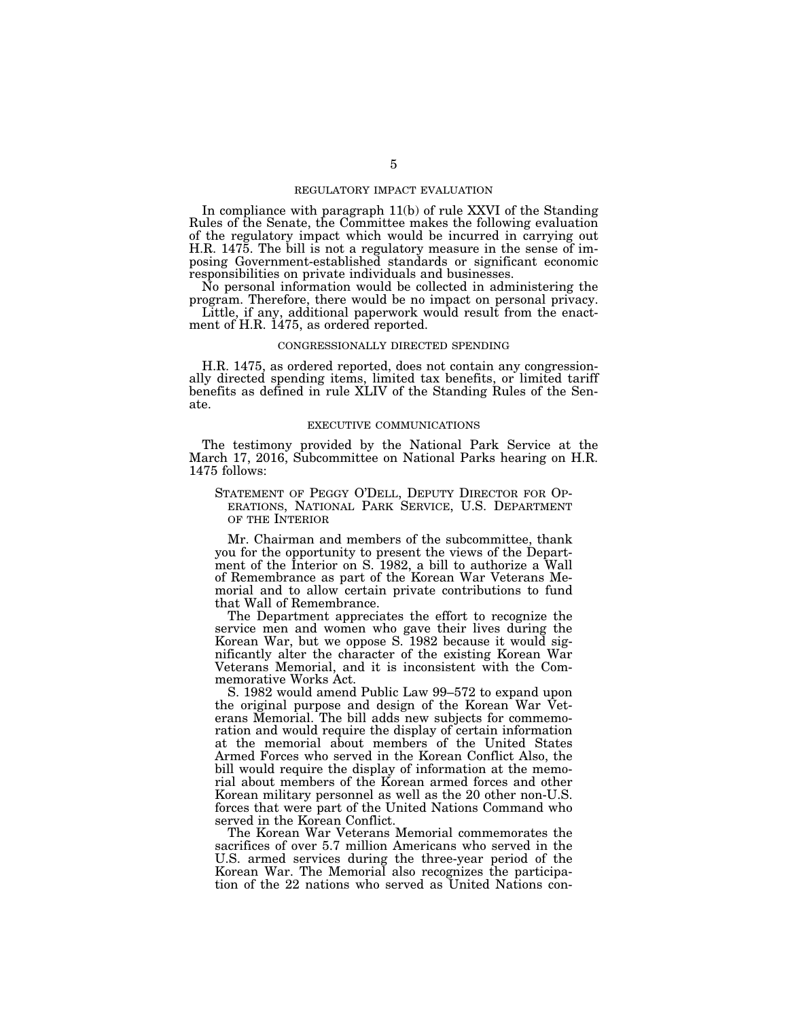#### REGULATORY IMPACT EVALUATION

In compliance with paragraph 11(b) of rule XXVI of the Standing Rules of the Senate, the Committee makes the following evaluation of the regulatory impact which would be incurred in carrying out H.R. 1475. The bill is not a regulatory measure in the sense of imposing Government-established standards or significant economic responsibilities on private individuals and businesses.

No personal information would be collected in administering the program. Therefore, there would be no impact on personal privacy.

Little, if any, additional paperwork would result from the enactment of H.R. 1475, as ordered reported.

## CONGRESSIONALLY DIRECTED SPENDING

H.R. 1475, as ordered reported, does not contain any congressionally directed spending items, limited tax benefits, or limited tariff benefits as defined in rule XLIV of the Standing Rules of the Senate.

#### EXECUTIVE COMMUNICATIONS

The testimony provided by the National Park Service at the March 17, 2016, Subcommittee on National Parks hearing on H.R. 1475 follows:

# STATEMENT OF PEGGY O'DELL, DEPUTY DIRECTOR FOR OP- ERATIONS, NATIONAL PARK SERVICE, U.S. DEPARTMENT OF THE INTERIOR

Mr. Chairman and members of the subcommittee, thank you for the opportunity to present the views of the Department of the Interior on S. 1982, a bill to authorize a Wall of Remembrance as part of the Korean War Veterans Memorial and to allow certain private contributions to fund that Wall of Remembrance.

The Department appreciates the effort to recognize the service men and women who gave their lives during the Korean War, but we oppose S. 1982 because it would significantly alter the character of the existing Korean War Veterans Memorial, and it is inconsistent with the Commemorative Works Act.

S. 1982 would amend Public Law 99–572 to expand upon the original purpose and design of the Korean War Veterans Memorial. The bill adds new subjects for commemoration and would require the display of certain information at the memorial about members of the United States Armed Forces who served in the Korean Conflict Also, the bill would require the display of information at the memorial about members of the Korean armed forces and other Korean military personnel as well as the 20 other non-U.S. forces that were part of the United Nations Command who served in the Korean Conflict.

The Korean War Veterans Memorial commemorates the sacrifices of over 5.7 million Americans who served in the U.S. armed services during the three-year period of the Korean War. The Memorial also recognizes the participation of the 22 nations who served as United Nations con-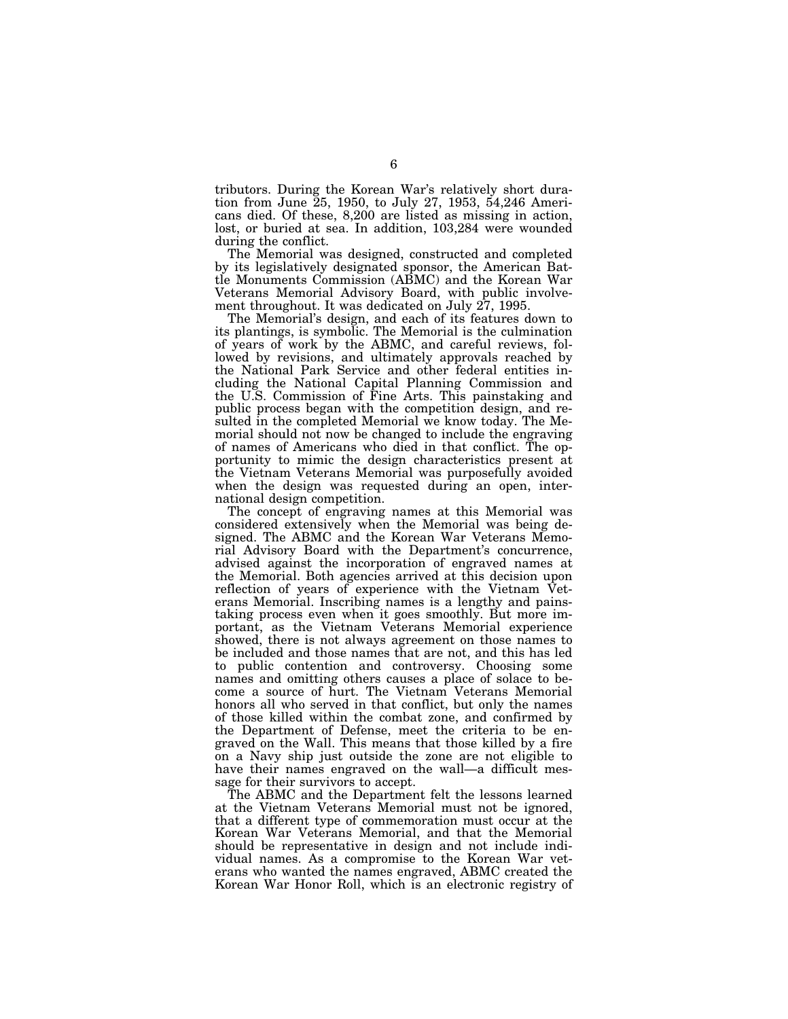tributors. During the Korean War's relatively short duration from June 25, 1950, to July 27, 1953, 54,246 Americans died. Of these, 8,200 are listed as missing in action, lost, or buried at sea. In addition, 103,284 were wounded during the conflict.

The Memorial was designed, constructed and completed by its legislatively designated sponsor, the American Battle Monuments Commission (ABMC) and the Korean War Veterans Memorial Advisory Board, with public involvement throughout. It was dedicated on July 27, 1995.

The Memorial's design, and each of its features down to its plantings, is symbolic. The Memorial is the culmination of years of work by the ABMC, and careful reviews, followed by revisions, and ultimately approvals reached by the National Park Service and other federal entities including the National Capital Planning Commission and the U.S. Commission of Fine Arts. This painstaking and public process began with the competition design, and resulted in the completed Memorial we know today. The Memorial should not now be changed to include the engraving of names of Americans who died in that conflict. The opportunity to mimic the design characteristics present at the Vietnam Veterans Memorial was purposefully avoided when the design was requested during an open, international design competition.

The concept of engraving names at this Memorial was considered extensively when the Memorial was being designed. The ABMC and the Korean War Veterans Memorial Advisory Board with the Department's concurrence, advised against the incorporation of engraved names at the Memorial. Both agencies arrived at this decision upon reflection of years of experience with the Vietnam Veterans Memorial. Inscribing names is a lengthy and painstaking process even when it goes smoothly. But more important, as the Vietnam Veterans Memorial experience showed, there is not always agreement on those names to be included and those names that are not, and this has led to public contention and controversy. Choosing some names and omitting others causes a place of solace to become a source of hurt. The Vietnam Veterans Memorial honors all who served in that conflict, but only the names of those killed within the combat zone, and confirmed by the Department of Defense, meet the criteria to be engraved on the Wall. This means that those killed by a fire on a Navy ship just outside the zone are not eligible to have their names engraved on the wall—a difficult message for their survivors to accept.

The ABMC and the Department felt the lessons learned at the Vietnam Veterans Memorial must not be ignored, that a different type of commemoration must occur at the Korean War Veterans Memorial, and that the Memorial should be representative in design and not include individual names. As a compromise to the Korean War veterans who wanted the names engraved, ABMC created the Korean War Honor Roll, which is an electronic registry of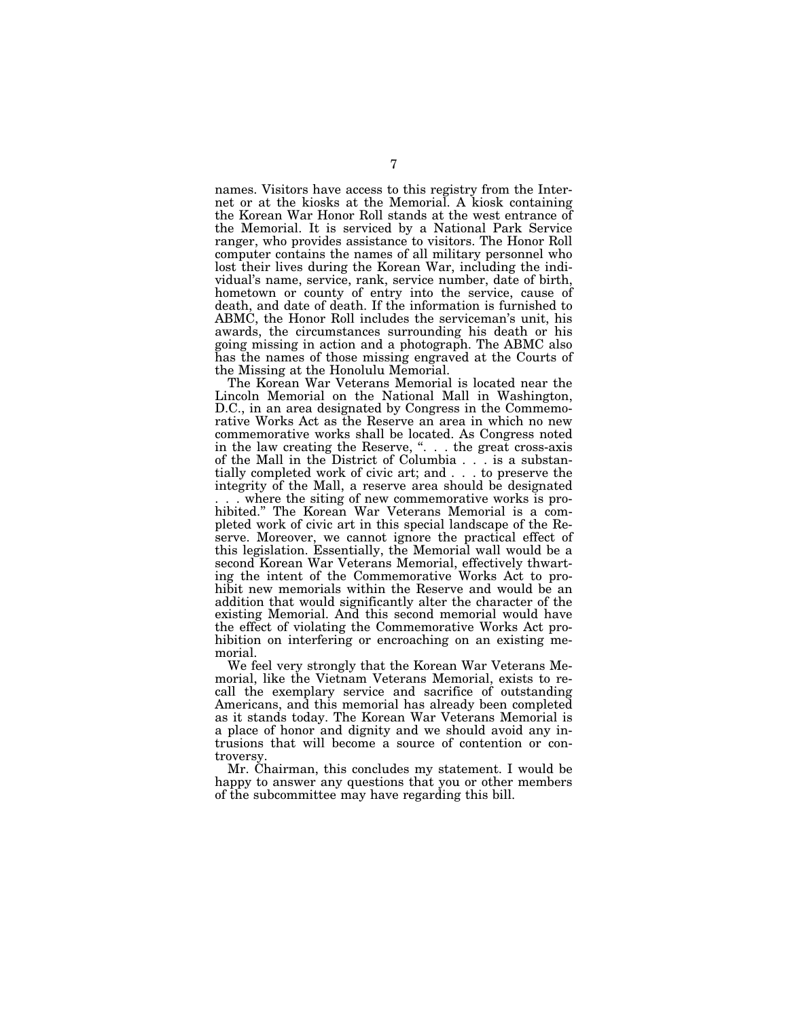names. Visitors have access to this registry from the Internet or at the kiosks at the Memorial. A kiosk containing the Korean War Honor Roll stands at the west entrance of the Memorial. It is serviced by a National Park Service ranger, who provides assistance to visitors. The Honor Roll computer contains the names of all military personnel who lost their lives during the Korean War, including the individual's name, service, rank, service number, date of birth, hometown or county of entry into the service, cause of death, and date of death. If the information is furnished to ABMC, the Honor Roll includes the serviceman's unit, his awards, the circumstances surrounding his death or his going missing in action and a photograph. The ABMC also has the names of those missing engraved at the Courts of the Missing at the Honolulu Memorial.

The Korean War Veterans Memorial is located near the Lincoln Memorial on the National Mall in Washington, D.C., in an area designated by Congress in the Commemorative Works Act as the Reserve an area in which no new commemorative works shall be located. As Congress noted in the law creating the Reserve, ". . . the great cross-axis of the Mall in the District of Columbia . . . is a substantially completed work of civic art; and . . . to preserve the integrity of the Mall, a reserve area should be designated

. where the siting of new commemorative works is prohibited.'' The Korean War Veterans Memorial is a completed work of civic art in this special landscape of the Reserve. Moreover, we cannot ignore the practical effect of this legislation. Essentially, the Memorial wall would be a second Korean War Veterans Memorial, effectively thwarting the intent of the Commemorative Works Act to prohibit new memorials within the Reserve and would be an addition that would significantly alter the character of the existing Memorial. And this second memorial would have the effect of violating the Commemorative Works Act prohibition on interfering or encroaching on an existing memorial.

We feel very strongly that the Korean War Veterans Memorial, like the Vietnam Veterans Memorial, exists to recall the exemplary service and sacrifice of outstanding Americans, and this memorial has already been completed as it stands today. The Korean War Veterans Memorial is a place of honor and dignity and we should avoid any intrusions that will become a source of contention or controversy.

Mr. Chairman, this concludes my statement. I would be happy to answer any questions that you or other members of the subcommittee may have regarding this bill.